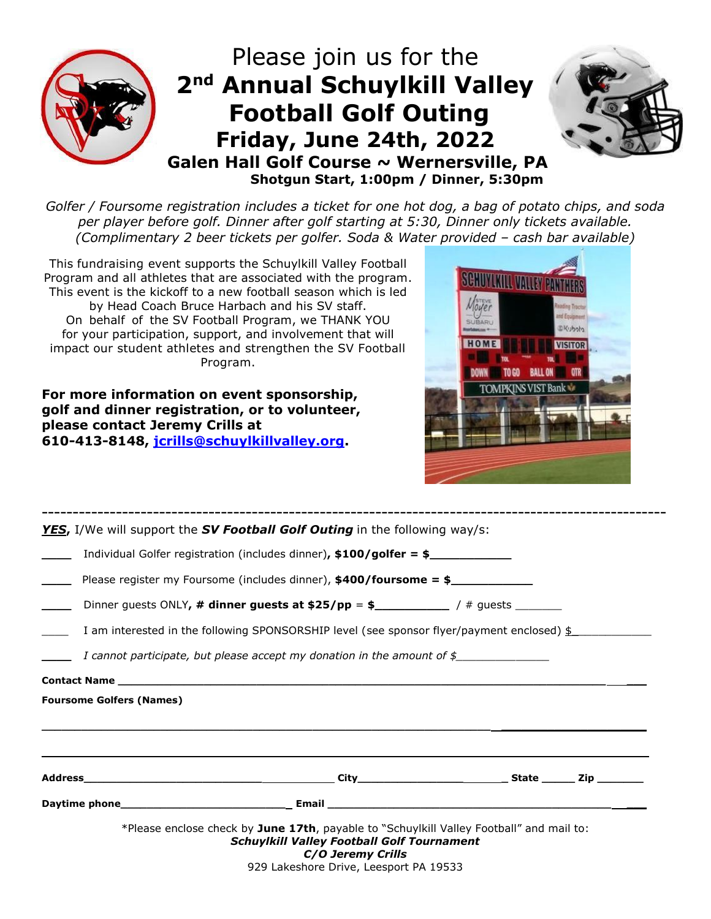

*Golfer / Foursome registration includes a ticket for one hot dog, a bag of potato chips, and soda per player before golf. Dinner after golf starting at 5:30, Dinner only tickets available. (Complimentary 2 beer tickets per golfer. Soda & Water provided – cash bar available)*

This fundraising event supports the Schuylkill Valley Football Program and all athletes that are associated with the program. This event is the kickoff to a new football season which is led by Head Coach Bruce Harbach and his SV staff. On behalf of the SV Football Program, we THANK YOU for your participation, support, and involvement that will impact our student athletes and strengthen the SV Football Program.

**For more information on event sponsorship, golf and dinner registration, or to volunteer, please contact Jeremy Crills at 610-413-8148, [jcrills@schuylkillvalley.org.](mailto:jcrills@schuylkillvalley.org?subject=SV%20Football%20Golf%20Tournament)**



|                                 | YES, I/We will support the SV Football Golf Outing in the following way/s:                                                                                                                                   |  |
|---------------------------------|--------------------------------------------------------------------------------------------------------------------------------------------------------------------------------------------------------------|--|
|                                 | Individual Golfer registration (includes dinner), $$100/golfer = $$                                                                                                                                          |  |
|                                 | Please register my Foursome (includes dinner), $$400/foursome = $$                                                                                                                                           |  |
|                                 |                                                                                                                                                                                                              |  |
|                                 | I am interested in the following SPONSORSHIP level (see sponsor flyer/payment enclosed) $\frac{1}{2}$                                                                                                        |  |
|                                 | I cannot participate, but please accept my donation in the amount of $\oint$                                                                                                                                 |  |
|                                 | <b>Contact Name</b>                                                                                                                                                                                          |  |
| <b>Foursome Golfers (Names)</b> |                                                                                                                                                                                                              |  |
|                                 |                                                                                                                                                                                                              |  |
|                                 |                                                                                                                                                                                                              |  |
|                                 | *Please enclose check by June 17th, payable to "Schuylkill Valley Football" and mail to:<br><b>Schuylkill Valley Football Golf Tournament</b><br>C/O Jeremy Crills<br>929 Lakeshore Drive, Leesport PA 19533 |  |